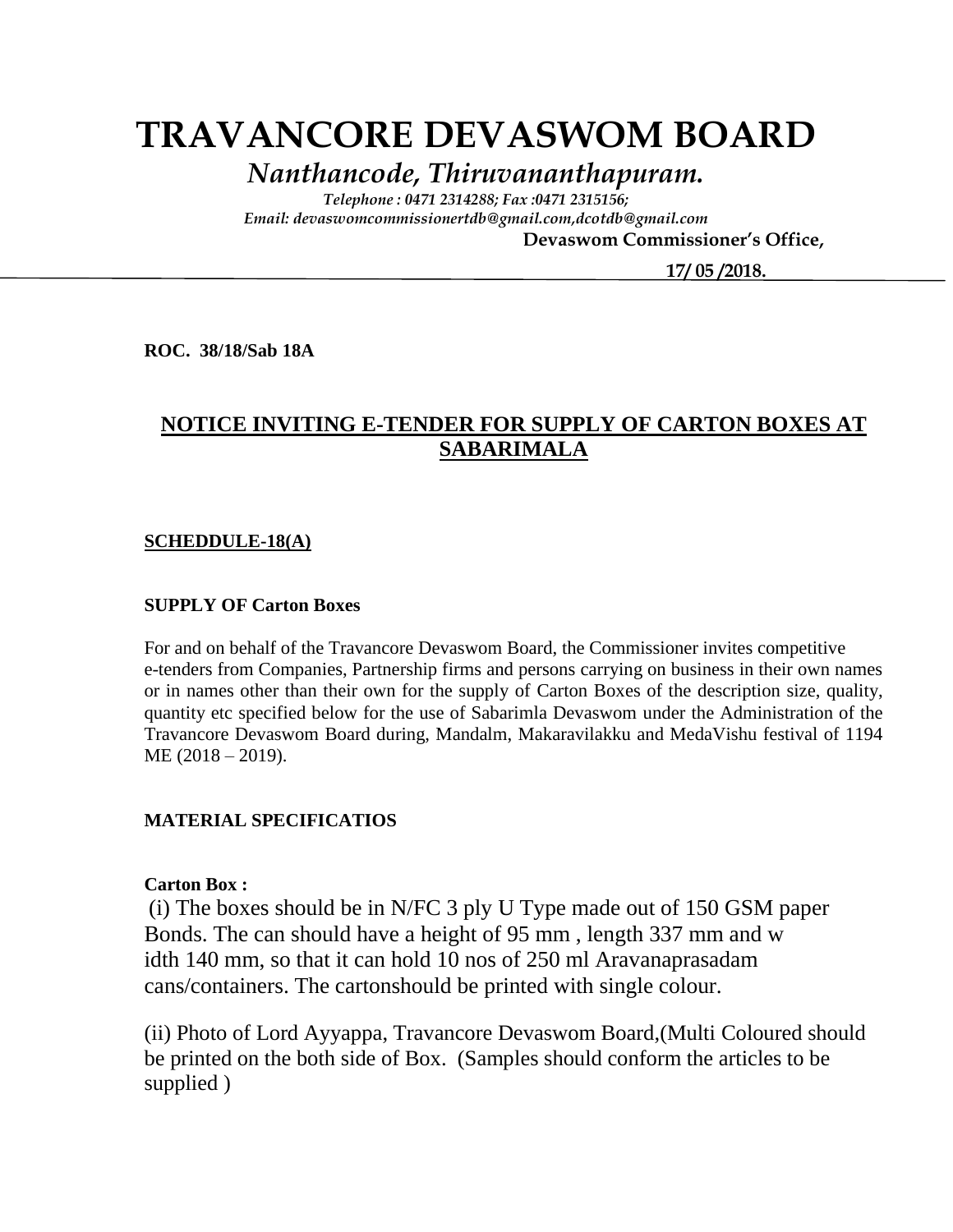# **TRAVANCORE DEVASWOM BOARD**

*Nanthancode, Thiruvananthapuram.*

*Telephone : 0471 2314288; Fax :0471 2315156; Email: devaswomcommissionertdb@gmail.com,dcotdb@gmail.com*

 **Devaswom Commissioner's Office,**

 **17/ 05 /2018.**

**ROC. 38/18/Sab 18A**

### **NOTICE INVITING E-TENDER FOR SUPPLY OF CARTON BOXES AT SABARIMALA**

#### **SCHEDDULE-18(A)**

#### **SUPPLY OF Carton Boxes**

For and on behalf of the Travancore Devaswom Board, the Commissioner invites competitive e-tenders from Companies, Partnership firms and persons carrying on business in their own names or in names other than their own for the supply of Carton Boxes of the description size, quality, quantity etc specified below for the use of Sabarimla Devaswom under the Administration of the Travancore Devaswom Board during, Mandalm, Makaravilakku and MedaVishu festival of 1194 ME (2018 – 2019).

#### **MATERIAL SPECIFICATIOS**

#### **Carton Box :**

(i) The boxes should be in N/FC 3 ply U Type made out of 150 GSM paper Bonds. The can should have a height of 95 mm , length 337 mm and w idth 140 mm, so that it can hold 10 nos of 250 ml Aravanaprasadam cans/containers. The cartonshould be printed with single colour.

(ii) Photo of Lord Ayyappa, Travancore Devaswom Board,(Multi Coloured should be printed on the both side of Box. (Samples should conform the articles to be supplied )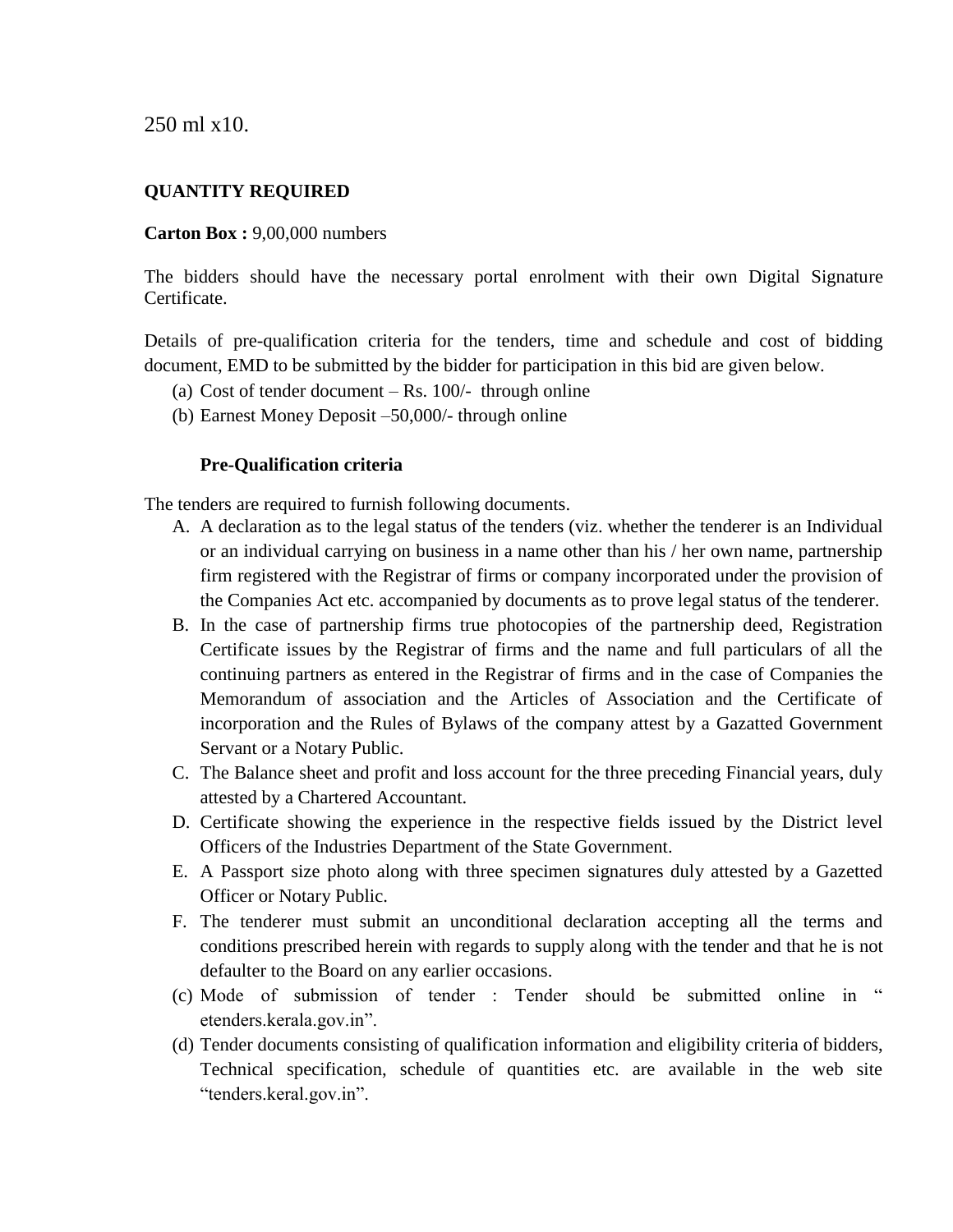250 ml x10.

#### **QUANTITY REQUIRED**

#### **Carton Box :** 9,00,000 numbers

The bidders should have the necessary portal enrolment with their own Digital Signature Certificate.

Details of pre-qualification criteria for the tenders, time and schedule and cost of bidding document, EMD to be submitted by the bidder for participation in this bid are given below.

- (a) Cost of tender document  $-$  Rs. 100 $/$  through online
- (b) Earnest Money Deposit –50,000/- through online

#### **Pre-Qualification criteria**

The tenders are required to furnish following documents.

- A. A declaration as to the legal status of the tenders (viz. whether the tenderer is an Individual or an individual carrying on business in a name other than his / her own name, partnership firm registered with the Registrar of firms or company incorporated under the provision of the Companies Act etc. accompanied by documents as to prove legal status of the tenderer.
- B. In the case of partnership firms true photocopies of the partnership deed, Registration Certificate issues by the Registrar of firms and the name and full particulars of all the continuing partners as entered in the Registrar of firms and in the case of Companies the Memorandum of association and the Articles of Association and the Certificate of incorporation and the Rules of Bylaws of the company attest by a Gazatted Government Servant or a Notary Public.
- C. The Balance sheet and profit and loss account for the three preceding Financial years, duly attested by a Chartered Accountant.
- D. Certificate showing the experience in the respective fields issued by the District level Officers of the Industries Department of the State Government.
- E. A Passport size photo along with three specimen signatures duly attested by a Gazetted Officer or Notary Public.
- F. The tenderer must submit an unconditional declaration accepting all the terms and conditions prescribed herein with regards to supply along with the tender and that he is not defaulter to the Board on any earlier occasions.
- $\alpha$  Mode of submission of tender : Tender should be submitted online in etenders.kerala.gov.in".
- (d) Tender documents consisting of qualification information and eligibility criteria of bidders, Technical specification, schedule of quantities etc. are available in the web site "tenders.keral.gov.in".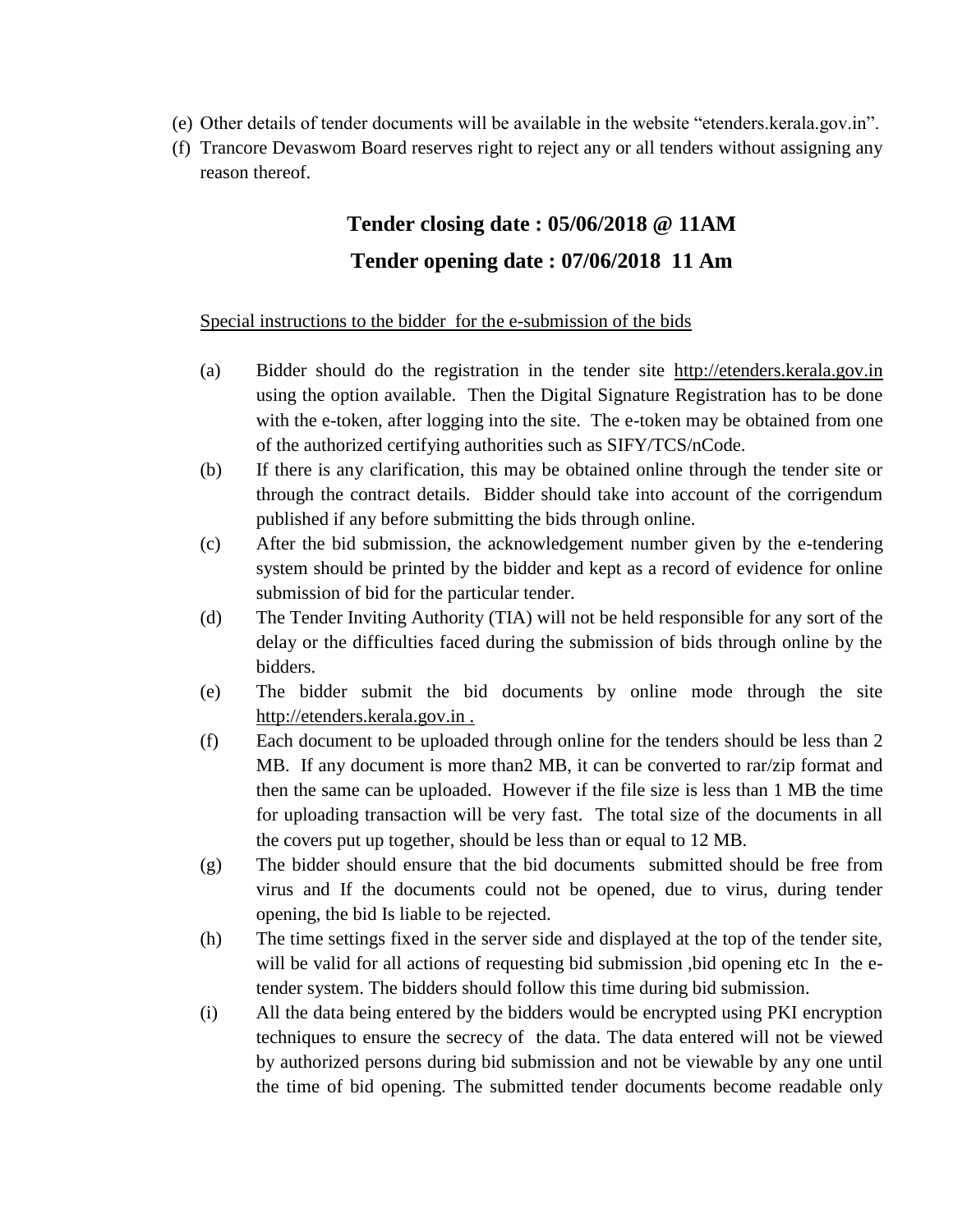- (e) Other details of tender documents will be available in the website "etenders.kerala.gov.in".
- (f) Trancore Devaswom Board reserves right to reject any or all tenders without assigning any reason thereof.

## **Tender closing date : 05/06/2018 @ 11AM Tender opening date : 07/06/2018 11 Am**

#### Special instructions to the bidder for the e-submission of the bids

- (a) Bidder should do the registration in the tender site http://etenders.kerala.gov.in using the option available. Then the Digital Signature Registration has to be done with the e-token, after logging into the site. The e-token may be obtained from one of the authorized certifying authorities such as SIFY/TCS/nCode.
- (b) If there is any clarification, this may be obtained online through the tender site or through the contract details. Bidder should take into account of the corrigendum published if any before submitting the bids through online.
- (c) After the bid submission, the acknowledgement number given by the e-tendering system should be printed by the bidder and kept as a record of evidence for online submission of bid for the particular tender.
- (d) The Tender Inviting Authority (TIA) will not be held responsible for any sort of the delay or the difficulties faced during the submission of bids through online by the bidders.
- (e) The bidder submit the bid documents by online mode through the site http://etenders.kerala.gov.in .
- (f) Each document to be uploaded through online for the tenders should be less than 2 MB. If any document is more than2 MB, it can be converted to rar/zip format and then the same can be uploaded. However if the file size is less than 1 MB the time for uploading transaction will be very fast. The total size of the documents in all the covers put up together, should be less than or equal to 12 MB.
- (g) The bidder should ensure that the bid documents submitted should be free from virus and If the documents could not be opened, due to virus, during tender opening, the bid Is liable to be rejected.
- (h) The time settings fixed in the server side and displayed at the top of the tender site, will be valid for all actions of requesting bid submission ,bid opening etc In the etender system. The bidders should follow this time during bid submission.
- (i) All the data being entered by the bidders would be encrypted using PKI encryption techniques to ensure the secrecy of the data. The data entered will not be viewed by authorized persons during bid submission and not be viewable by any one until the time of bid opening. The submitted tender documents become readable only